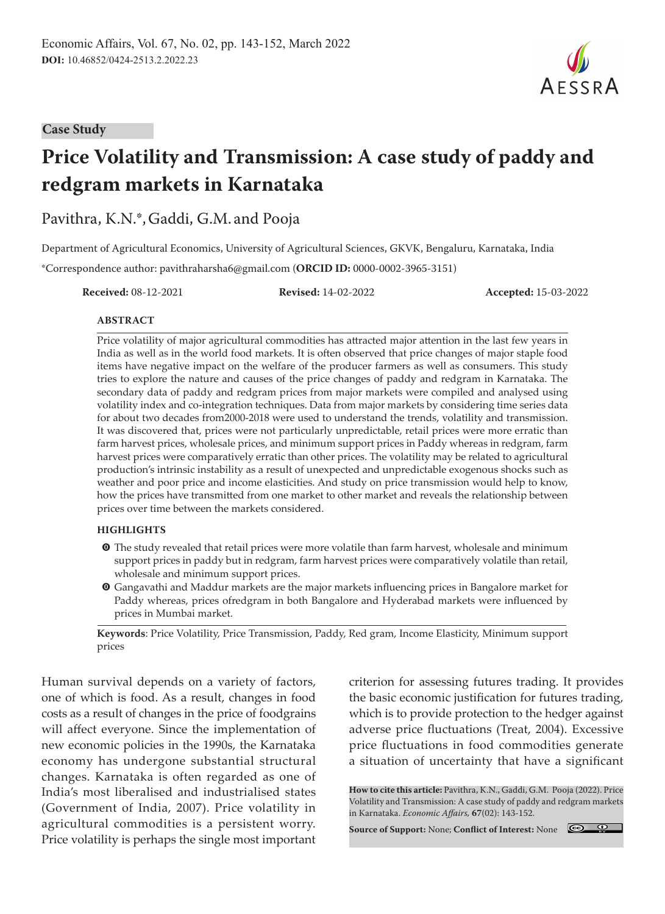#### **Case Study**

# **Price Volatility and Transmission: A case study of paddy and redgram markets in Karnataka**

Pavithra, K.N.\*,Gaddi, G.M. and Pooja

Department of Agricultural Economics, University of Agricultural Sciences, GKVK, Bengaluru, Karnataka, India \*Correspondence author: pavithraharsha6@gmail.com (**ORCID ID:** 0000-0002-3965-3151)

**Received:** 08-12-2021 **Revised:** 14-02-2022 **Accepted:** 15-03-2022

#### **ABSTRACT**

Price volatility of major agricultural commodities has attracted major attention in the last few years in India as well as in the world food markets. It is often observed that price changes of major staple food items have negative impact on the welfare of the producer farmers as well as consumers. This study tries to explore the nature and causes of the price changes of paddy and redgram in Karnataka. The secondary data of paddy and redgram prices from major markets were compiled and analysed using volatility index and co-integration techniques. Data from major markets by considering time series data for about two decades from2000-2018 were used to understand the trends, volatility and transmission. It was discovered that, prices were not particularly unpredictable, retail prices were more erratic than farm harvest prices, wholesale prices, and minimum support prices in Paddy whereas in redgram, farm harvest prices were comparatively erratic than other prices. The volatility may be related to agricultural production's intrinsic instability as a result of unexpected and unpredictable exogenous shocks such as weather and poor price and income elasticities. And study on price transmission would help to know, how the prices have transmitted from one market to other market and reveals the relationship between prices over time between the markets considered.

#### **HIGHLIGHTS**

- **O** The study revealed that retail prices were more volatile than farm harvest, wholesale and minimum support prices in paddy but in redgram, farm harvest prices were comparatively volatile than retail, wholesale and minimum support prices.
- m Gangavathi and Maddur markets are the major markets influencing prices in Bangalore market for Paddy whereas, prices ofredgram in both Bangalore and Hyderabad markets were influenced by prices in Mumbai market.

**Keywords**: Price Volatility, Price Transmission, Paddy, Red gram, Income Elasticity, Minimum support prices

Human survival depends on a variety of factors, one of which is food. As a result, changes in food costs as a result of changes in the price of foodgrains will affect everyone. Since the implementation of new economic policies in the 1990s, the Karnataka economy has undergone substantial structural changes. Karnataka is often regarded as one of India's most liberalised and industrialised states (Government of India, 2007). Price volatility in agricultural commodities is a persistent worry. Price volatility is perhaps the single most important criterion for assessing futures trading. It provides the basic economic justification for futures trading, which is to provide protection to the hedger against adverse price fluctuations (Treat, 2004). Excessive price fluctuations in food commodities generate a situation of uncertainty that have a significant

**How to cite this article:** Pavithra, K.N., Gaddi, G.M. Pooja (2022). Price Volatility and Transmission: A case study of paddy and redgram markets in Karnataka. *Economic Affairs,* **67**(02): 143-152.

**Source of Support:** None; **Conflict of Interest:** None



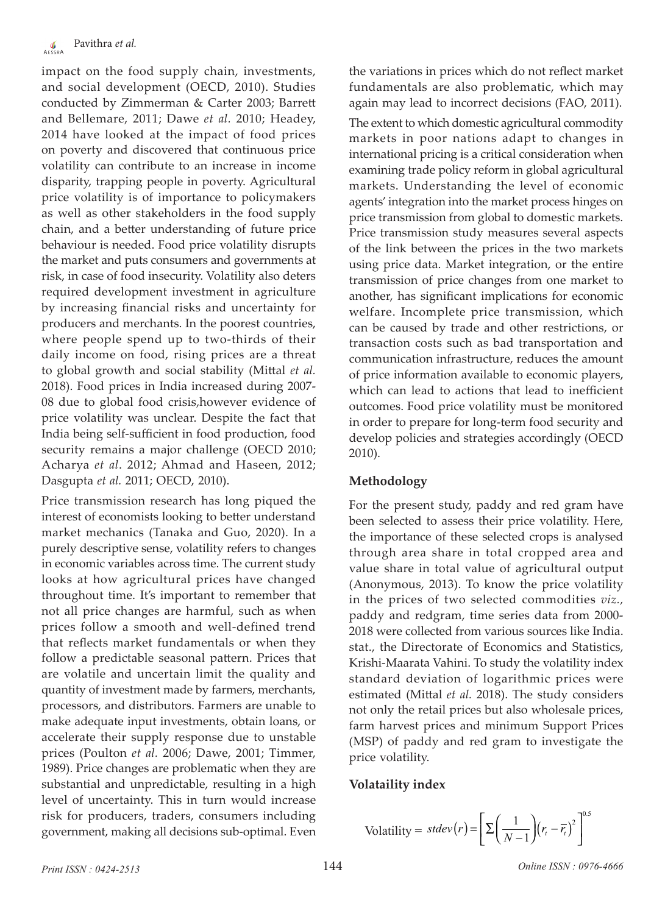impact on the food supply chain, investments, and social development (OECD, 2010). Studies conducted by Zimmerman & Carter 2003; Barrett and Bellemare, 2011; Dawe *et al.* 2010; Headey, 2014 have looked at the impact of food prices on poverty and discovered that continuous price volatility can contribute to an increase in income disparity, trapping people in poverty. Agricultural price volatility is of importance to policymakers as well as other stakeholders in the food supply chain, and a better understanding of future price behaviour is needed. Food price volatility disrupts the market and puts consumers and governments at risk, in case of food insecurity. Volatility also deters required development investment in agriculture by increasing financial risks and uncertainty for producers and merchants. In the poorest countries, where people spend up to two-thirds of their daily income on food, rising prices are a threat to global growth and social stability (Mittal *et al.*  2018). Food prices in India increased during 2007- 08 due to global food crisis,however evidence of price volatility was unclear. Despite the fact that India being self-sufficient in food production, food security remains a major challenge (OECD 2010; Acharya *et al*. 2012; Ahmad and Haseen, 2012; Dasgupta *et al.* 2011; OECD, 2010).

Price transmission research has long piqued the interest of economists looking to better understand market mechanics (Tanaka and Guo, 2020). In a purely descriptive sense, volatility refers to changes in economic variables across time. The current study looks at how agricultural prices have changed throughout time. It's important to remember that not all price changes are harmful, such as when prices follow a smooth and well-defined trend that reflects market fundamentals or when they follow a predictable seasonal pattern. Prices that are volatile and uncertain limit the quality and quantity of investment made by farmers, merchants, processors, and distributors. Farmers are unable to make adequate input investments, obtain loans, or accelerate their supply response due to unstable prices (Poulton *et al.* 2006; Dawe, 2001; Timmer, 1989). Price changes are problematic when they are substantial and unpredictable, resulting in a high level of uncertainty. This in turn would increase risk for producers, traders, consumers including government, making all decisions sub-optimal. Even

the variations in prices which do not reflect market fundamentals are also problematic, which may again may lead to incorrect decisions (FAO, 2011).

The extent to which domestic agricultural commodity markets in poor nations adapt to changes in international pricing is a critical consideration when examining trade policy reform in global agricultural markets. Understanding the level of economic agents' integration into the market process hinges on price transmission from global to domestic markets. Price transmission study measures several aspects of the link between the prices in the two markets using price data. Market integration, or the entire transmission of price changes from one market to another, has significant implications for economic welfare. Incomplete price transmission, which can be caused by trade and other restrictions, or transaction costs such as bad transportation and communication infrastructure, reduces the amount of price information available to economic players, which can lead to actions that lead to inefficient outcomes. Food price volatility must be monitored in order to prepare for long-term food security and develop policies and strategies accordingly (OECD 2010).

# **Methodology**

For the present study, paddy and red gram have been selected to assess their price volatility. Here, the importance of these selected crops is analysed through area share in total cropped area and value share in total value of agricultural output (Anonymous, 2013). To know the price volatility in the prices of two selected commodities *viz.,*  paddy and redgram, time series data from 2000- 2018 were collected from various sources like India. stat., the Directorate of Economics and Statistics, Krishi-Maarata Vahini. To study the volatility index standard deviation of logarithmic prices were estimated (Mittal *et al.* 2018). The study considers not only the retail prices but also wholesale prices, farm harvest prices and minimum Support Prices (MSP) of paddy and red gram to investigate the price volatility.

# **Volataility index**

$$
\text{Volatility} = \text{stdev}(r) = \left[\sum \left(\frac{1}{N-1}\right) (r_t - \overline{r_t})^2\right]^{0.5}
$$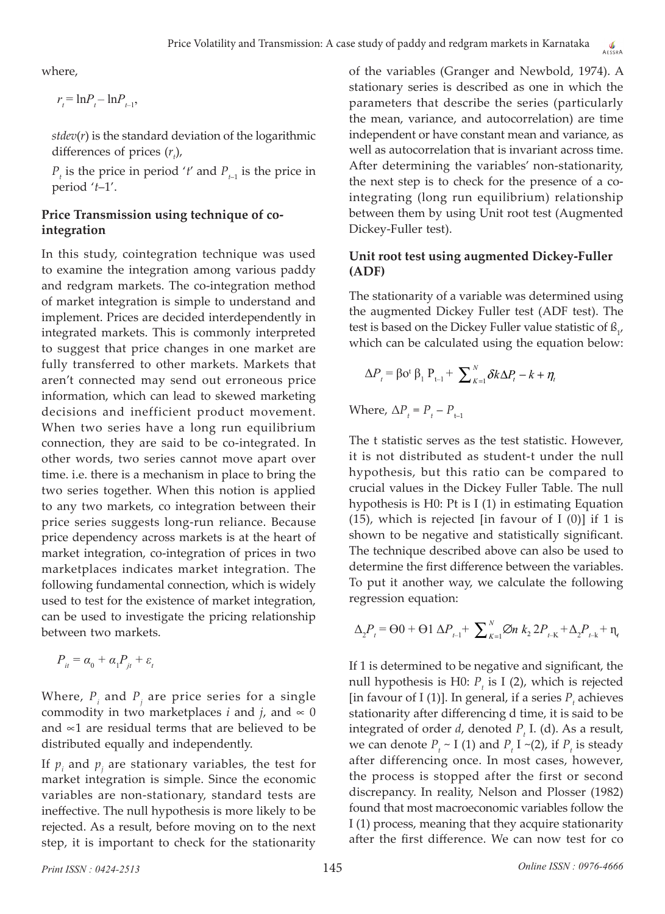where,

 $r_{t} = \ln P_{t} - \ln P_{t-1}$ 

*stdev*(*r*) is the standard deviation of the logarithmic differences of prices  $(r<sub>t</sub>)$ ,

 $P_t$  is the price in period '*t'* and  $P_{t-1}$  is the price in period '*t*–1'.

# **Price Transmission using technique of cointegration**

In this study, cointegration technique was used to examine the integration among various paddy and redgram markets. The co-integration method of market integration is simple to understand and implement. Prices are decided interdependently in integrated markets. This is commonly interpreted to suggest that price changes in one market are fully transferred to other markets. Markets that aren't connected may send out erroneous price information, which can lead to skewed marketing decisions and inefficient product movement. When two series have a long run equilibrium connection, they are said to be co-integrated. In other words, two series cannot move apart over time. i.e. there is a mechanism in place to bring the two series together. When this notion is applied to any two markets, co integration between their price series suggests long-run reliance. Because price dependency across markets is at the heart of market integration, co-integration of prices in two marketplaces indicates market integration. The following fundamental connection, which is widely used to test for the existence of market integration, can be used to investigate the pricing relationship between two markets.

$$
P_{it} = \alpha_0 + \alpha_1 P_{it} + \varepsilon_t
$$

Where,  $P_i$  and  $P_j$  are price series for a single commodity in two marketplaces *i* and *j*, and  $\infty$  0 and ∝1 are residual terms that are believed to be distributed equally and independently.

If  $p_i$  and  $p_j$  are stationary variables, the test for market integration is simple. Since the economic variables are non-stationary, standard tests are ineffective. The null hypothesis is more likely to be rejected. As a result, before moving on to the next step, it is important to check for the stationarity

of the variables (Granger and Newbold, 1974). A stationary series is described as one in which the parameters that describe the series (particularly the mean, variance, and autocorrelation) are time independent or have constant mean and variance, as well as autocorrelation that is invariant across time. After determining the variables' non-stationarity, the next step is to check for the presence of a cointegrating (long run equilibrium) relationship between them by using Unit root test (Augmented Dickey-Fuller test).

# **Unit root test using augmented Dickey-Fuller (ADF)**

The stationarity of a variable was determined using the augmented Dickey Fuller test (ADF test). The test is based on the Dickey Fuller value statistic of  $\mathfrak{L}_{1'}$ which can be calculated using the equation below:

$$
\Delta P_{t} = \beta \mathbf{o}^{t} \beta_{1} P_{t-1} + \sum_{k=1}^{N} \delta k \Delta P_{t} - k + \eta_{t}
$$

Where,  $\Delta P_t = P_t - P_{t-1}$ 

The t statistic serves as the test statistic. However, it is not distributed as student-t under the null hypothesis, but this ratio can be compared to crucial values in the Dickey Fuller Table. The null hypothesis is H0: Pt is I (1) in estimating Equation (15), which is rejected [in favour of I  $(0)$ ] if 1 is shown to be negative and statistically significant. The technique described above can also be used to determine the first difference between the variables. To put it another way, we calculate the following regression equation:

$$
\Delta_{2}P_{t} = \Theta 0 + \Theta 1 \Delta P_{t-1} + \sum_{k=1}^{N} \emptyset n k_{2} 2P_{t-k} + \Delta_{2}P_{t-k} + \eta_{t}
$$

If 1 is determined to be negative and significant, the null hypothesis is H0:  $P_t$  is I (2), which is rejected [in favour of I (1)]. In general, if a series  $P_t$  achieves stationarity after differencing d time, it is said to be integrated of order  $d$ , denoted  $P_t$  I. (d). As a result, we can denote  $P_t \sim I(1)$  and  $P_t I \sim (2)$ , if  $P_t$  is steady after differencing once. In most cases, however, the process is stopped after the first or second discrepancy. In reality, Nelson and Plosser (1982) found that most macroeconomic variables follow the I (1) process, meaning that they acquire stationarity after the first difference. We can now test for co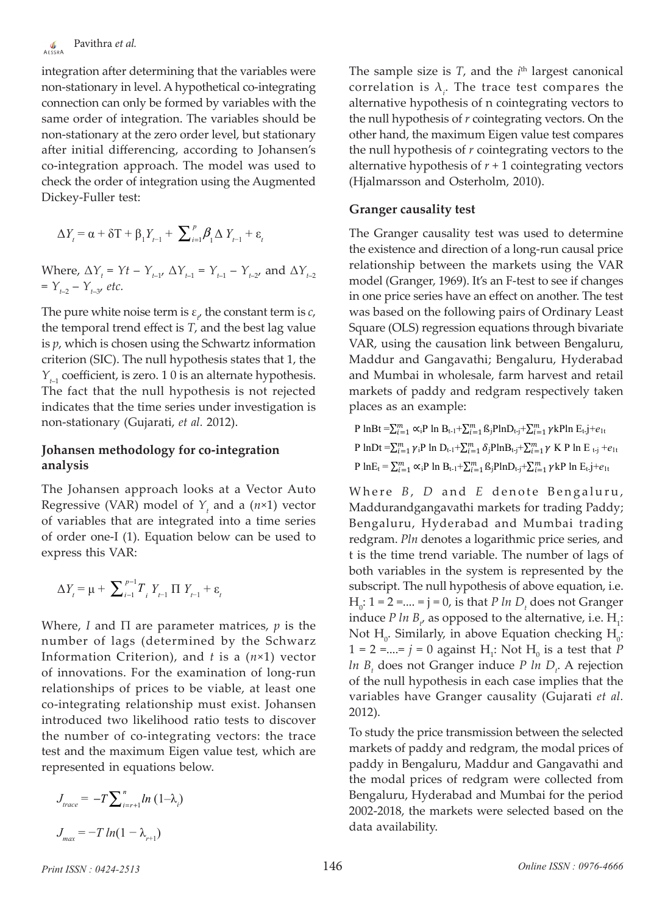integration after determining that the variables were non-stationary in level. A hypothetical co-integrating connection can only be formed by variables with the same order of integration. The variables should be non-stationary at the zero order level, but stationary after initial differencing, according to Johansen's co-integration approach. The model was used to check the order of integration using the Augmented Dickey-Fuller test:

$$
\Delta Y_{t} = \alpha + \delta T + \beta_{1} Y_{t-1} + \sum_{i=1}^{p} \beta_{i} \Delta Y_{t-1} + \varepsilon_{t}
$$

Where,  $\Delta Y_t = Yt - Y_{t-1}$ ,  $\Delta Y_{t-1} = Y_{t-1} - Y_{t-2}$ , and  $\Delta Y_{t-2}$  $= Y_{t-2} - Y_{t-3}$ , *etc.* 

The pure white noise term is  $\varepsilon_{t}$  the constant term is  $c$ , the temporal trend effect is *T*, and the best lag value is *p*, which is chosen using the Schwartz information criterion (SIC). The null hypothesis states that 1, the  $Y_{t-1}$  coefficient, is zero. 1 0 is an alternate hypothesis. The fact that the null hypothesis is not rejected indicates that the time series under investigation is non-stationary (Gujarati, *et al.* 2012).

### **Johansen methodology for co-integration analysis**

The Johansen approach looks at a Vector Auto Regressive (VAR) model of  $Y_t$  and a ( $n \times 1$ ) vector of variables that are integrated into a time series of order one-I (1). Equation below can be used to express this VAR:

$$
\Delta Y_{t} = \mu + \sum_{i=1}^{p-1} T_{i} Y_{t-1} \prod Y_{t-1} + \varepsilon_{t}
$$

Where, *I* and  $\Pi$  are parameter matrices, *p* is the number of lags (determined by the Schwarz Information Criterion), and *t* is a (*n*×1) vector of innovations. For the examination of long-run relationships of prices to be viable, at least one co-integrating relationship must exist. Johansen introduced two likelihood ratio tests to discover the number of co-integrating vectors: the trace test and the maximum Eigen value test, which are represented in equations below.

$$
J_{trace} = -T \sum_{i=r+1}^{n} ln (1 - \lambda_i)
$$

$$
J_{max} = -T ln(1 - \lambda_{r+1})
$$

The sample size is  $T$ , and the  $i<sup>th</sup>$  largest canonical correlation is  $\lambda_i$ . The trace test compares the alternative hypothesis of n cointegrating vectors to the null hypothesis of *r* cointegrating vectors. On the other hand, the maximum Eigen value test compares the null hypothesis of *r* cointegrating vectors to the alternative hypothesis of  $r + 1$  cointegrating vectors (Hjalmarsson and Osterholm, 2010).

### **Granger causality test**

The Granger causality test was used to determine the existence and direction of a long-run causal price relationship between the markets using the VAR model (Granger, 1969). It's an F-test to see if changes in one price series have an effect on another. The test was based on the following pairs of Ordinary Least Square (OLS) regression equations through bivariate VAR, using the causation link between Bengaluru, Maddur and Gangavathi; Bengaluru, Hyderabad and Mumbai in wholesale, farm harvest and retail markets of paddy and redgram respectively taken places as an example:

P  $lnBt = \sum_{i=1}^{m} \alpha_i P \ln B_{t-1} + \sum_{i=1}^{m} \beta_j P ln D_{t-j} + \sum_{i=1}^{m} \gamma k P ln E_{t-j} + e_{1t}$ P lnDt  $=\sum_{i=1}^{m} \gamma_i$ P ln D<sub>t-1</sub>+ $\sum_{i=1}^{m} \delta_j$ PlnB<sub>t-j</sub>+ $\sum_{i=1}^{m} \gamma$  K P ln E <sub>t-j</sub> + $e_{1t}$  $P \ln E_t = \sum_{i=1}^m \alpha_i P \ln B_{t-1} + \sum_{i=1}^m \beta_i P \ln D_{t-j} + \sum_{i=1}^m \gamma k P \ln E_{t-j} + e_{1t}$ 

Where *B*, *D* and *E* denote Bengaluru, Maddurandgangavathi markets for trading Paddy; Bengaluru, Hyderabad and Mumbai trading redgram. *Pln* denotes a logarithmic price series, and t is the time trend variable. The number of lags of both variables in the system is represented by the subscript. The null hypothesis of above equation, i.e.  $H_0$ : 1 = 2 =.... = j = 0, is that *P ln D<sub>t</sub>* does not Granger induce *P* ln  $B_{\mu}$  as opposed to the alternative, i.e.  $H_i$ : Not  $H_0$ . Similarly, in above Equation checking  $H_0$ :  $1 = 2 = ... = j = 0$  against  $H_1$ : Not  $H_0$  is a test that *P ln B*<sub>t</sub> does not Granger induce *P ln D*<sub>t</sub>. A rejection of the null hypothesis in each case implies that the variables have Granger causality (Gujarati *et al.* 2012).

To study the price transmission between the selected markets of paddy and redgram, the modal prices of paddy in Bengaluru, Maddur and Gangavathi and the modal prices of redgram were collected from Bengaluru, Hyderabad and Mumbai for the period 2002-2018, the markets were selected based on the data availability.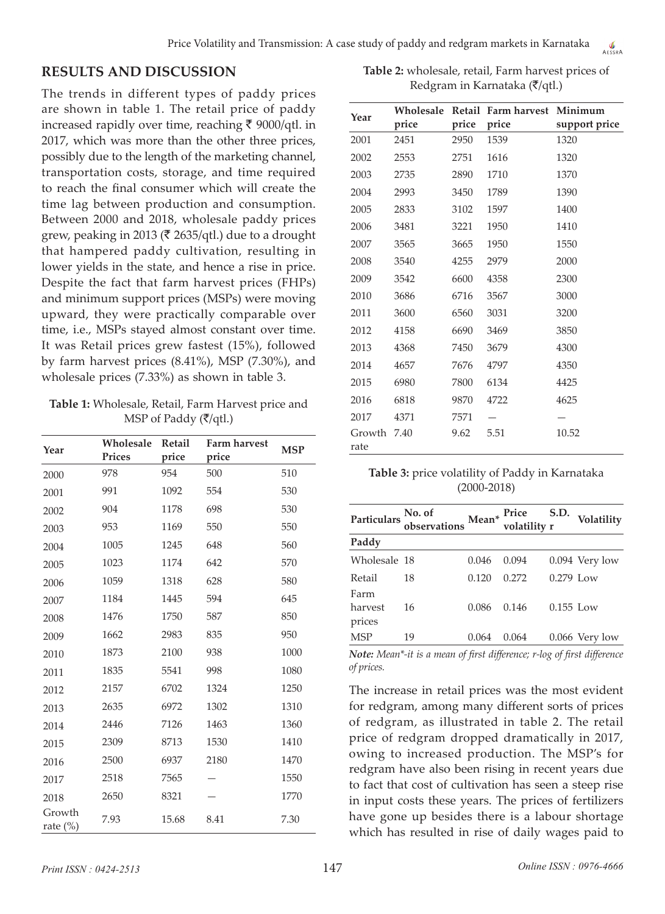# **RESULTS AND DISCUSSION**

The trends in different types of paddy prices are shown in table 1. The retail price of paddy increased rapidly over time, reaching  $\bar{\tau}$  9000/qtl. in 2017, which was more than the other three prices, possibly due to the length of the marketing channel, transportation costs, storage, and time required to reach the final consumer which will create the time lag between production and consumption. Between 2000 and 2018, wholesale paddy prices grew, peaking in 2013 ( $\bar{\xi}$  2635/qtl.) due to a drought that hampered paddy cultivation, resulting in lower yields in the state, and hence a rise in price. Despite the fact that farm harvest prices (FHPs) and minimum support prices (MSPs) were moving upward, they were practically comparable over time, i.e., MSPs stayed almost constant over time. It was Retail prices grew fastest (15%), followed by farm harvest prices (8.41%), MSP (7.30%), and wholesale prices (7.33%) as shown in table 3.

**Table 1:** Wholesale, Retail, Farm Harvest price and MSP of Paddy (₹/qtl.)

| Year               | Wholesale<br>Prices | Retail<br>price | <b>Farm harvest</b><br>price | <b>MSP</b> |
|--------------------|---------------------|-----------------|------------------------------|------------|
| 2000               | 978                 | 954             | 500                          | 510        |
| 2001               | 991                 | 1092            | 554                          | 530        |
| 2002               | 904                 | 1178            | 698                          | 530        |
| 2003               | 953                 | 1169            | 550                          | 550        |
| 2004               | 1005                | 1245            | 648                          | 560        |
| 2005               | 1023                | 1174            | 642                          | 570        |
| 2006               | 1059                | 1318            | 628                          | 580        |
| 2007               | 1184                | 1445            | 594                          | 645        |
| 2008               | 1476                | 1750            | 587                          | 850        |
| 2009               | 1662                | 2983            | 835                          | 950        |
| 2010               | 1873                | 2100            | 938                          | 1000       |
| 2011               | 1835                | 5541            | 998                          | 1080       |
| 2012               | 2157                | 6702            | 1324                         | 1250       |
| 2013               | 2635                | 6972            | 1302                         | 1310       |
| 2014               | 2446                | 7126            | 1463                         | 1360       |
| 2015               | 2309                | 8713            | 1530                         | 1410       |
| 2016               | 2500                | 6937            | 2180                         | 1470       |
| 2017               | 2518                | 7565            |                              | 1550       |
| 2018               | 2650                | 8321            |                              | 1770       |
| Growth<br>rate (%) | 7.93                | 15.68           | 8.41                         | 7.30       |

**Table 2:** wholesale, retail, Farm harvest prices of Redgram in Karnataka ( $\overline{\zeta}/qt$ l.)

|                | Wholesale |       | Retail Farm harvest | Minimum       |
|----------------|-----------|-------|---------------------|---------------|
| Year           | price     | price | price               | support price |
| 2001           | 2451      | 2950  | 1539                | 1320          |
| 2002           | 2553      | 2751  | 1616                | 1320          |
| 2003           | 2735      | 2890  | 1710                | 1370          |
| 2004           | 2993      | 3450  | 1789                | 1390          |
| 2005           | 2833      | 3102  | 1597                | 1400          |
| 2006           | 3481      | 3221  | 1950                | 1410          |
| 2007           | 3565      | 3665  | 1950                | 1550          |
| 2008           | 3540      | 4255  | 2979                | 2000          |
| 2009           | 3542      | 6600  | 4358                | 2300          |
| 2010           | 3686      | 6716  | 3567                | 3000          |
| 2011           | 3600      | 6560  | 3031                | 3200          |
| 2012           | 4158      | 6690  | 3469                | 3850          |
| 2013           | 4368      | 7450  | 3679                | 4300          |
| 2014           | 4657      | 7676  | 4797                | 4350          |
| 2015           | 6980      | 7800  | 6134                | 4425          |
| 2016           | 6818      | 9870  | 4722                | 4625          |
| 2017           | 4371      | 7571  |                     |               |
| Growth<br>rate | 7.40      | 9.62  | 5.51                | 10.52         |

| Table 3: price volatility of Paddy in Karnataka |
|-------------------------------------------------|
| $(2000 - 2018)$                                 |

|              | Particulars No. of Mean* Price S.D.<br>bservations Mean* volatility r |       |       |             | Volatility       |
|--------------|-----------------------------------------------------------------------|-------|-------|-------------|------------------|
| Paddy        |                                                                       |       |       |             |                  |
| Wholesale 18 |                                                                       | 0.046 | 0.094 |             | $0.094$ Very low |
| Retail       | 18                                                                    | 0.120 | 0.272 | $0.279$ Low |                  |
| Farm         |                                                                       |       |       |             |                  |
| harvest      | 16                                                                    | 0.086 | 0.146 | $0.155$ Low |                  |
| prices       |                                                                       |       |       |             |                  |
| <b>MSP</b>   | 19                                                                    | 0.064 | 0.064 |             | $0.066$ Very low |

*Note: Mean\*-it is a mean of first difference; r-log of first difference of prices.*

The increase in retail prices was the most evident for redgram, among many different sorts of prices of redgram, as illustrated in table 2. The retail price of redgram dropped dramatically in 2017, owing to increased production. The MSP's for redgram have also been rising in recent years due to fact that cost of cultivation has seen a steep rise in input costs these years. The prices of fertilizers have gone up besides there is a labour shortage which has resulted in rise of daily wages paid to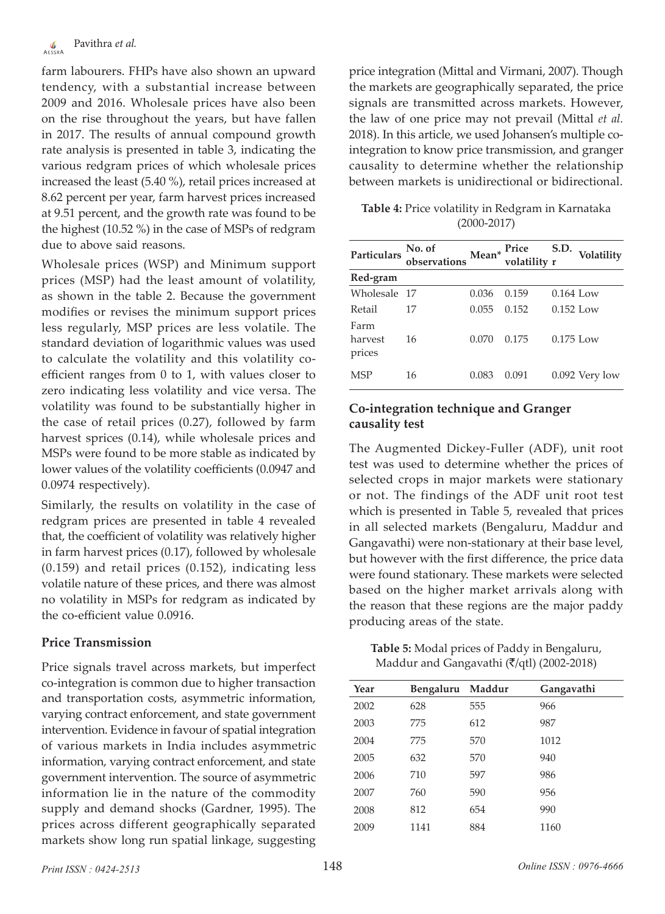farm labourers. FHPs have also shown an upward tendency, with a substantial increase between 2009 and 2016. Wholesale prices have also been on the rise throughout the years, but have fallen in 2017. The results of annual compound growth rate analysis is presented in table 3, indicating the various redgram prices of which wholesale prices increased the least (5.40 %), retail prices increased at 8.62 percent per year, farm harvest prices increased at 9.51 percent, and the growth rate was found to be the highest (10.52 %) in the case of MSPs of redgram due to above said reasons.

Wholesale prices (WSP) and Minimum support prices (MSP) had the least amount of volatility, as shown in the table 2. Because the government modifies or revises the minimum support prices less regularly, MSP prices are less volatile. The standard deviation of logarithmic values was used to calculate the volatility and this volatility coefficient ranges from 0 to 1, with values closer to zero indicating less volatility and vice versa. The volatility was found to be substantially higher in the case of retail prices (0.27), followed by farm harvest sprices (0.14), while wholesale prices and MSPs were found to be more stable as indicated by lower values of the volatility coefficients (0.0947 and 0.0974 respectively).

Similarly, the results on volatility in the case of redgram prices are presented in table 4 revealed that, the coefficient of volatility was relatively higher in farm harvest prices (0.17), followed by wholesale (0.159) and retail prices (0.152), indicating less volatile nature of these prices, and there was almost no volatility in MSPs for redgram as indicated by the co-efficient value 0.0916.

# **Price Transmission**

Price signals travel across markets, but imperfect co-integration is common due to higher transaction and transportation costs, asymmetric information, varying contract enforcement, and state government intervention. Evidence in favour of spatial integration of various markets in India includes asymmetric information, varying contract enforcement, and state government intervention. The source of asymmetric information lie in the nature of the commodity supply and demand shocks (Gardner, 1995). The prices across different geographically separated markets show long run spatial linkage, suggesting price integration (Mittal and Virmani, 2007). Though the markets are geographically separated, the price signals are transmitted across markets. However, the law of one price may not prevail (Mittal *et al.*  2018). In this article, we used Johansen's multiple cointegration to know price transmission, and granger causality to determine whether the relationship between markets is unidirectional or bidirectional.

**Table 4:** Price volatility in Redgram in Karnataka (2000-2017)

| Particulars               | No. of<br>observations | $\mathbf{Mean}^*$ | Price<br>volatility r | S.D.        | Volatility       |
|---------------------------|------------------------|-------------------|-----------------------|-------------|------------------|
| Red-gram                  |                        |                   |                       |             |                  |
| Wholesale 17              |                        | 0.036             | 0.159                 | $0.164$ Low |                  |
| Retail                    | 17                     | 0.055             | 0.152                 | $0.152$ Low |                  |
| Farm<br>harvest<br>prices | 16                     | 0.070             | 0.175                 | $0.175$ Low |                  |
| MSP                       | 16                     | 0.083             | 0.091                 |             | $0.092$ Very low |

# **Co-integration technique and Granger causality test**

The Augmented Dickey-Fuller (ADF), unit root test was used to determine whether the prices of selected crops in major markets were stationary or not. The findings of the ADF unit root test which is presented in Table 5, revealed that prices in all selected markets (Bengaluru, Maddur and Gangavathi) were non-stationary at their base level, but however with the first difference, the price data were found stationary. These markets were selected based on the higher market arrivals along with the reason that these regions are the major paddy producing areas of the state.

**Table 5:** Modal prices of Paddy in Bengaluru, Maddur and Gangavathi ( $\overline{\zeta}$ /qtl) (2002-2018)

| Year | Bengaluru | Maddur | Gangavathi |
|------|-----------|--------|------------|
| 2002 | 628       | 555    | 966        |
| 2003 | 775       | 612    | 987        |
| 2004 | 775       | 570    | 1012       |
| 2005 | 632       | 570    | 940        |
| 2006 | 710       | 597    | 986        |
| 2007 | 760       | 590    | 956        |
| 2008 | 812       | 654    | 990        |
| 2009 | 1141      | 884    | 1160       |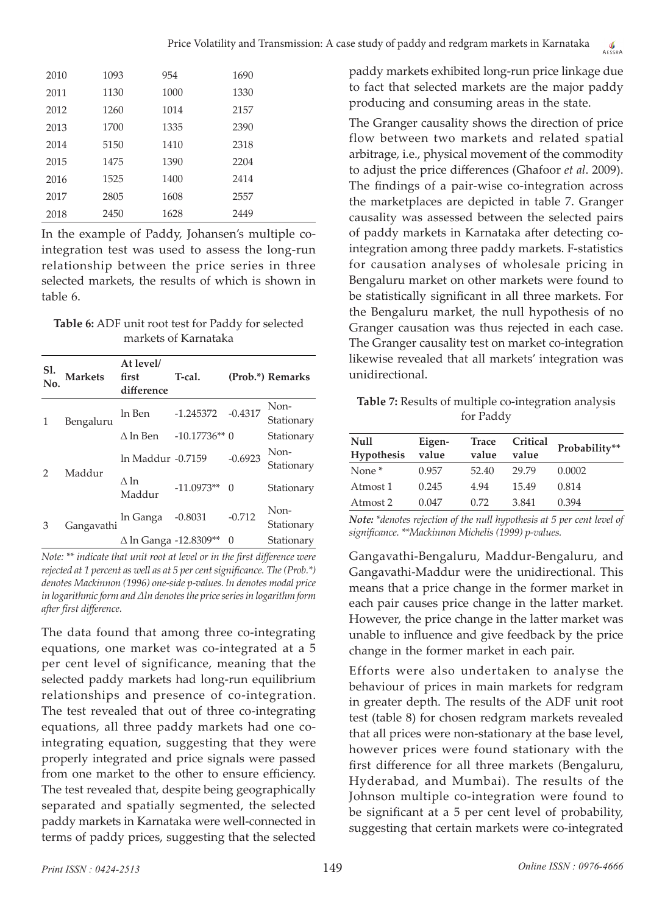| 2010 | 1093 | 954  | 1690 |
|------|------|------|------|
|      |      |      |      |
| 2011 | 1130 | 1000 | 1330 |
| 2012 | 1260 | 1014 | 2157 |
| 2013 | 1700 | 1335 | 2390 |
| 2014 | 5150 | 1410 | 2318 |
| 2015 | 1475 | 1390 | 2204 |
| 2016 | 1525 | 1400 | 2414 |
| 2017 | 2805 | 1608 | 2557 |
| 2018 | 2450 | 1628 | 2449 |

In the example of Paddy, Johansen's multiple cointegration test was used to assess the long-run relationship between the price series in three selected markets, the results of which is shown in table 6.

**Table 6:** ADF unit root test for Paddy for selected markets of Karnataka

| Sl.           | <b>Markets</b> | At level/<br>first<br>difference | T-cal.         |           | (Prob.*) Remarks   |
|---------------|----------------|----------------------------------|----------------|-----------|--------------------|
|               | Bengaluru      | ln Ben                           | $-1.245372$    | $-0.4317$ | Non-<br>Stationary |
|               |                | $\Delta$ ln Ben                  | $-10.17736**0$ |           | Stationary         |
| $\mathcal{P}$ |                | ln Maddur -0.7159                |                | $-0.6923$ | Non-<br>Stationary |
|               | Maddur         | Δln<br>Maddur                    | $-11.0973**$   | $\Omega$  | Stationary         |
| 3             | Gangavathi     | In Ganga                         | $-0.8031$      | $-0.712$  | Non-<br>Stationary |
|               |                | ∆ ln Ganga -12.8309**            |                | 0         | Stationary         |

*Note: \*\* indicate that unit root at level or in the first difference were rejected at 1 percent as well as at 5 per cent significance. The (Prob.\*) denotes Mackinnon (1996) one-side p-values. ln denotes modal price in logarithmic form and ∆ln denotes the price series in logarithm form after first difference.*

The data found that among three co-integrating equations, one market was co-integrated at a 5 per cent level of significance, meaning that the selected paddy markets had long-run equilibrium relationships and presence of co-integration. The test revealed that out of three co-integrating equations, all three paddy markets had one cointegrating equation, suggesting that they were properly integrated and price signals were passed from one market to the other to ensure efficiency. The test revealed that, despite being geographically separated and spatially segmented, the selected paddy markets in Karnataka were well-connected in terms of paddy prices, suggesting that the selected

paddy markets exhibited long-run price linkage due to fact that selected markets are the major paddy producing and consuming areas in the state.

The Granger causality shows the direction of price flow between two markets and related spatial arbitrage, i.e., physical movement of the commodity to adjust the price differences (Ghafoor *et al*. 2009). The findings of a pair-wise co-integration across the marketplaces are depicted in table 7. Granger causality was assessed between the selected pairs of paddy markets in Karnataka after detecting cointegration among three paddy markets. F-statistics for causation analyses of wholesale pricing in Bengaluru market on other markets were found to be statistically significant in all three markets. For the Bengaluru market, the null hypothesis of no Granger causation was thus rejected in each case. The Granger causality test on market co-integration likewise revealed that all markets' integration was unidirectional.

**Table 7:** Results of multiple co-integration analysis for Paddy

| <b>Null</b><br>Hypothesis | Eigen-<br>value | <b>Trace</b><br>value | Critical<br>value | Probability** |
|---------------------------|-----------------|-----------------------|-------------------|---------------|
| None <sup>*</sup>         | 0.957           | 52.40                 | 29.79             | 0.0002        |
| Atmost 1                  | 0.245           | 4.94                  | 15.49             | 0.814         |
| Atmost 2                  | 0.047           | 0.72                  | 3.841             | 0.394         |

*Note: \*denotes rejection of the null hypothesis at 5 per cent level of significance. \*\*Mackinnon Michelis (1999) p-values.*

Gangavathi-Bengaluru, Maddur-Bengaluru, and Gangavathi-Maddur were the unidirectional. This means that a price change in the former market in each pair causes price change in the latter market. However, the price change in the latter market was unable to influence and give feedback by the price change in the former market in each pair.

Efforts were also undertaken to analyse the behaviour of prices in main markets for redgram in greater depth. The results of the ADF unit root test (table 8) for chosen redgram markets revealed that all prices were non-stationary at the base level, however prices were found stationary with the first difference for all three markets (Bengaluru, Hyderabad, and Mumbai). The results of the Johnson multiple co-integration were found to be significant at a 5 per cent level of probability, suggesting that certain markets were co-integrated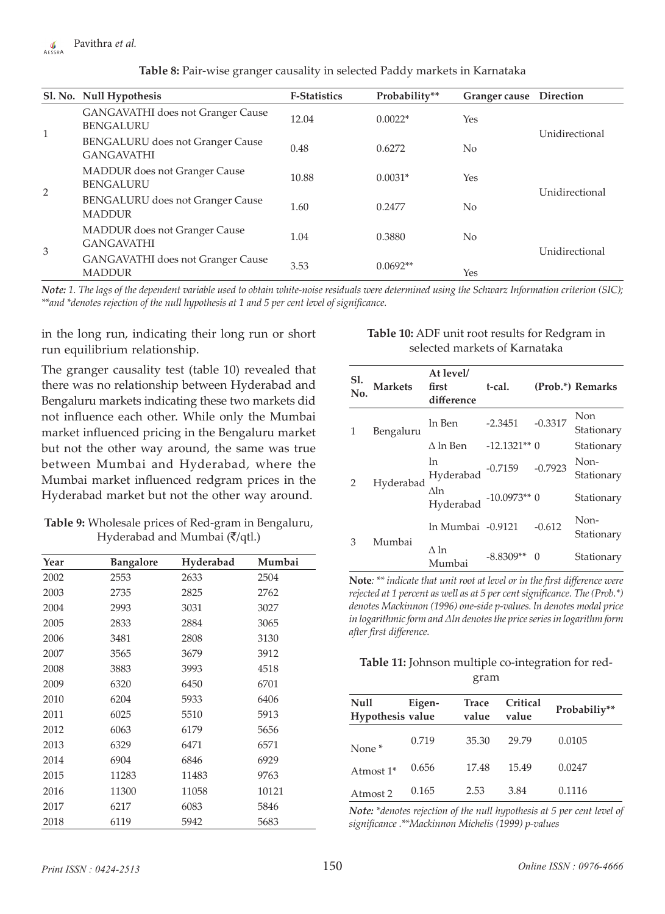| Table 8: Pair-wise granger causality in selected Paddy markets in Karnataka |  |  |
|-----------------------------------------------------------------------------|--|--|
|-----------------------------------------------------------------------------|--|--|

|              | Sl. No. Null Hypothesis                                      | <b>F-Statistics</b> | Probability** | Granger cause Direction |                |
|--------------|--------------------------------------------------------------|---------------------|---------------|-------------------------|----------------|
|              | <b>GANGAVATHI</b> does not Granger Cause<br><b>BENGALURU</b> | 12.04               | $0.0022*$     | Yes                     | Unidirectional |
| $\mathbf{1}$ | <b>BENGALURU</b> does not Granger Cause<br><b>GANGAVATHI</b> | 0.48                | 0.6272        | N <sub>0</sub>          |                |
|              | <b>MADDUR</b> does not Granger Cause<br><b>BENGALURU</b>     | 10.88               | $0.0031*$     | Yes                     |                |
|              | <b>BENGALURU</b> does not Granger Cause<br><b>MADDUR</b>     | 1.60                | 0.2477        | No                      | Unidirectional |
|              | <b>MADDUR</b> does not Granger Cause<br><b>GANGAVATHI</b>    | 1.04                | 0.3880        | N <sub>0</sub>          |                |
| 3            | <b>GANGAVATHI</b> does not Granger Cause<br><b>MADDUR</b>    | 3.53                | $0.0692**$    | Yes                     | Unidirectional |

*Note: 1. The lags of the dependent variable used to obtain white-noise residuals were determined using the Schwarz Information criterion (SIC); \*\*and \*denotes rejection of the null hypothesis at 1 and 5 per cent level of significance.*

in the long run, indicating their long run or short run equilibrium relationship.

The granger causality test (table 10) revealed that there was no relationship between Hyderabad and Bengaluru markets indicating these two markets did not influence each other. While only the Mumbai market influenced pricing in the Bengaluru market but not the other way around, the same was true between Mumbai and Hyderabad, where the Mumbai market influenced redgram prices in the Hyderabad market but not the other way around.

| Table 9: Wholesale prices of Red-gram in Bengaluru,   |
|-------------------------------------------------------|
| Hyderabad and Mumbai $(\overline{\mathfrak{k}}/qtl.)$ |

| Year | <b>Bangalore</b> | Hyderabad | Mumbai |
|------|------------------|-----------|--------|
| 2002 | 2553             | 2633      | 2504   |
| 2003 | 2735             | 2825      | 2762   |
| 2004 | 2993             | 3031      | 3027   |
| 2005 | 2833             | 2884      | 3065   |
| 2006 | 3481             | 2808      | 3130   |
| 2007 | 3565             | 3679      | 3912   |
| 2008 | 3883             | 3993      | 4518   |
| 2009 | 6320             | 6450      | 6701   |
| 2010 | 6204             | 5933      | 6406   |
| 2011 | 6025             | 5510      | 5913   |
| 2012 | 6063             | 6179      | 5656   |
| 2013 | 6329             | 6471      | 6571   |
| 2014 | 6904             | 6846      | 6929   |
| 2015 | 11283            | 11483     | 9763   |
| 2016 | 11300            | 11058     | 10121  |
| 2017 | 6217             | 6083      | 5846   |
| 2018 | 6119             | 5942      | 5683   |

#### **Table 10:** ADF unit root results for Redgram in selected markets of Karnataka

| Sl.           | <b>Markets</b> | At level/<br>first<br>difference | t-cal.        |           | (Prob.*) Remarks   |
|---------------|----------------|----------------------------------|---------------|-----------|--------------------|
|               | Bengaluru      | ln Ben                           | $-2.3451$     | $-0.3317$ | Non<br>Stationary  |
|               |                | $\Delta$ ln Ben                  | $-12.1321**0$ |           | Stationary         |
| $\mathcal{P}$ | Hyderabad      | ln<br>Hyderabad                  | $-0.7159$     | $-0.7923$ | Non-<br>Stationary |
|               |                | Δln<br>Hyderabad                 | $-10.0973**0$ |           | Stationary         |
| 3             | Mumbai         | In Mumbai -0.9121                |               | $-0.612$  | Non-<br>Stationary |
|               |                | Δln<br>Mumbai                    | $-8.8309**$   | 0         | Stationary         |

**Note***: \*\* indicate that unit root at level or in the first difference were rejected at 1 percent as well as at 5 per cent significance. The (Prob.\*) denotes Mackinnon (1996) one-side p-values. ln denotes modal price in logarithmic form and ∆ln denotes the price series in logarithm form after first difference.*

### **Table 11:** Johnson multiple co-integration for redgram

| <b>Null</b><br>Hypothesis value | Eigen- | <b>Trace</b><br>value | Critical<br>value | Probabiliy** |
|---------------------------------|--------|-----------------------|-------------------|--------------|
| None <sup>*</sup>               | 0.719  | 35.30                 | 29.79             | 0.0105       |
| Atmost 1*                       | 0.656  | 17.48                 | 15.49             | 0.0247       |
| Atmost 2                        | 0.165  | 2.53                  | 3.84              | 0.1116       |

*Note: \*denotes rejection of the null hypothesis at 5 per cent level of significance .\*\*Mackinnon Michelis (1999) p-values*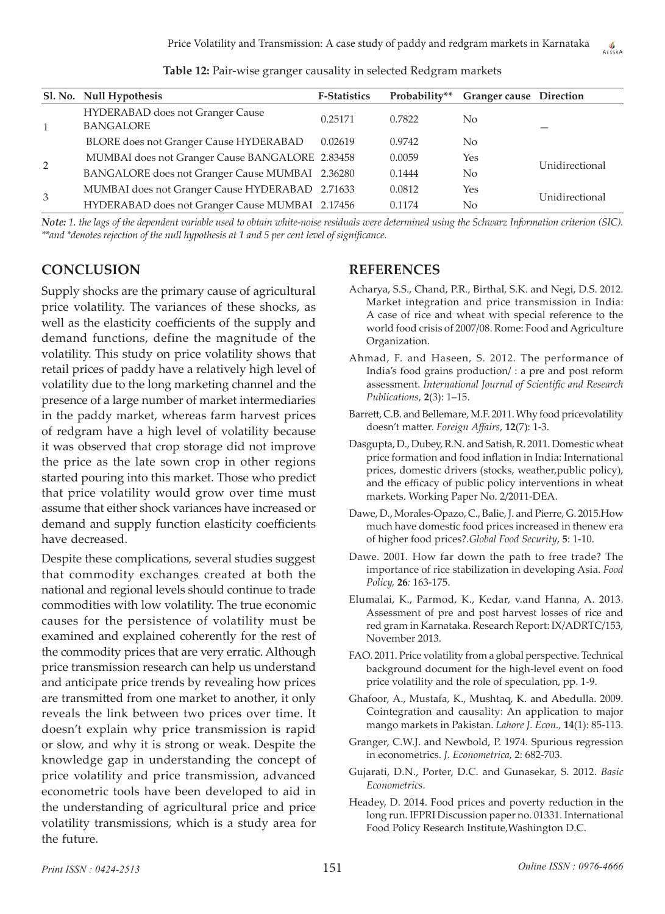|   | Sl. No. Null Hypothesis                              | <b>F-Statistics</b> | Probability** | <b>Granger cause</b> Direction |                |  |
|---|------------------------------------------------------|---------------------|---------------|--------------------------------|----------------|--|
|   | HYDERABAD does not Granger Cause<br><b>BANGALORE</b> | 0.25171             | 0.7822        | No.                            |                |  |
|   | <b>BLORE</b> does not Granger Cause HYDERABAD        | 0.02619             | 0.9742        | No                             |                |  |
| 2 | MUMBAI does not Granger Cause BANGALORE 2.83458      |                     | 0.0059        | Yes                            |                |  |
|   | BANGALORE does not Granger Cause MUMBAI 2.36280      |                     | 0.1444        | No                             | Unidirectional |  |
| 3 | MUMBAI does not Granger Cause HYDERABAD 2.71633      |                     | 0.0812        | Yes                            | Unidirectional |  |
|   | HYDERABAD does not Granger Cause MUMBAI 2.17456      |                     | 0.1174        | No                             |                |  |

**Table 12:** Pair-wise granger causality in selected Redgram markets

*Note: 1. the lags of the dependent variable used to obtain white-noise residuals were determined using the Schwarz Information criterion (SIC). \*\*and \*denotes rejection of the null hypothesis at 1 and 5 per cent level of significance.*

# **CONCLUSION**

Supply shocks are the primary cause of agricultural price volatility. The variances of these shocks, as well as the elasticity coefficients of the supply and demand functions, define the magnitude of the volatility. This study on price volatility shows that retail prices of paddy have a relatively high level of volatility due to the long marketing channel and the presence of a large number of market intermediaries in the paddy market, whereas farm harvest prices of redgram have a high level of volatility because it was observed that crop storage did not improve the price as the late sown crop in other regions started pouring into this market. Those who predict that price volatility would grow over time must assume that either shock variances have increased or demand and supply function elasticity coefficients have decreased.

Despite these complications, several studies suggest that commodity exchanges created at both the national and regional levels should continue to trade commodities with low volatility. The true economic causes for the persistence of volatility must be examined and explained coherently for the rest of the commodity prices that are very erratic. Although price transmission research can help us understand and anticipate price trends by revealing how prices are transmitted from one market to another, it only reveals the link between two prices over time. It doesn't explain why price transmission is rapid or slow, and why it is strong or weak. Despite the knowledge gap in understanding the concept of price volatility and price transmission, advanced econometric tools have been developed to aid in the understanding of agricultural price and price volatility transmissions, which is a study area for the future.

# **REFERENCES**

- Acharya, S.S., Chand, P.R., Birthal, S.K. and Negi, D.S. 2012. Market integration and price transmission in India: A case of rice and wheat with special reference to the world food crisis of 2007/08. Rome: Food and Agriculture Organization.
- Ahmad, F. and Haseen, S. 2012. The performance of India's food grains production/ : a pre and post reform assessment. *International Journal of Scientific and Research Publications*, **2**(3): 1–15.
- Barrett, C.B. and Bellemare, M.F. 2011. Why food pricevolatility doesn't matter. *Foreign Affairs*, **12**(7): 1-3.
- Dasgupta, D., Dubey, R.N. and Satish, R. 2011. Domestic wheat price formation and food inflation in India: International prices, domestic drivers (stocks, weather,public policy), and the efficacy of public policy interventions in wheat markets. Working Paper No. 2/2011-DEA.
- Dawe, D., Morales-Opazo, C., Balie, J. and Pierre, G. 2015.How much have domestic food prices increased in thenew era of higher food prices?.*Global Food Security*, **5**: 1-10.
- Dawe. 2001. How far down the path to free trade? The importance of rice stabilization in developing Asia. *Food Policy,* **26***:* 163-175.
- Elumalai, K., Parmod, K., Kedar, v.and Hanna, A. 2013. Assessment of pre and post harvest losses of rice and red gram in Karnataka. Research Report: IX/ADRTC/153, November 2013.
- FAO. 2011. Price volatility from a global perspective. Technical background document for the high-level event on food price volatility and the role of speculation, pp. 1-9.
- Ghafoor, A., Mustafa, K., Mushtaq, K. and Abedulla. 2009. Cointegration and causality: An application to major mango markets in Pakistan. *Lahore J. Econ.,* **14**(1): 85-113.
- Granger, C.W.J. and Newbold, P. 1974. Spurious regression in econometrics. *J. Econometrica*, 2: 682-703.
- Gujarati, D.N., Porter, D.C. and Gunasekar, S. 2012. *Basic Econometrics*.
- Headey, D. 2014. Food prices and poverty reduction in the long run. IFPRI Discussion paper no. 01331. International Food Policy Research Institute,Washington D.C.